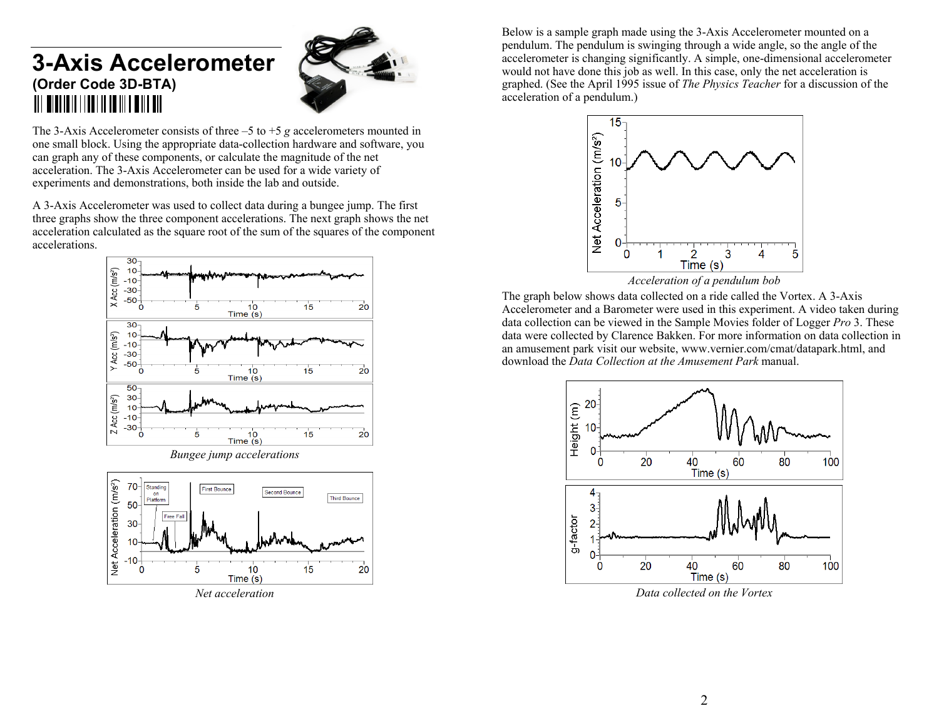# **3-Axis Accelerometer (Order Code 3D-BTA)**  TI | MINISTRATI | IN | IN | IN | IN | IN | IN



The 3-Axis Accelerometer consists of three –5 to +5 *g* accelerometers mounted in one small block. Using the appropriate data-collection hardware and software, you can graph any of these components, or calculate the magnitude of the net acceleration. The 3-Axis Accelerometer can be used for a wide variety of experiments and demonstrations, both inside the lab and outside.

A 3-Axis Accelerometer was used to collect data during a bungee jump. The first three graphs show the three component accelerations. The next graph shows the net acceleration calculated as the square root of the sum of the squares of the component accelerations.



*Net acceleration* 

Below is a sample graph made using the 3-Axis Accelerometer mounted on a pendulum. The pendulum is swinging through a wide angle, so the angle of the accelerometer is changing significantly. A simple, one-dimensional accelerometer would not have done this job as well. In this case, only the net acceleration is graphed. (See the April 1995 issue of *The Physics Teacher* for a discussion of the acceleration of a pendulum.)



The graph below shows data collected on a ride called the Vortex. A 3-Axis Accelerometer and a Barometer were used in this experiment. A video taken during data collection can be viewed in the Sample Movies folder of Logger *Pro* 3. These data were collected by Clarence Bakken. For more information on data collection in an amusement park visit our website, www.vernier.com/cmat/datapark.html, and download the *Data Collection at the Amusement Park* manual.



*Data collected on the Vortex*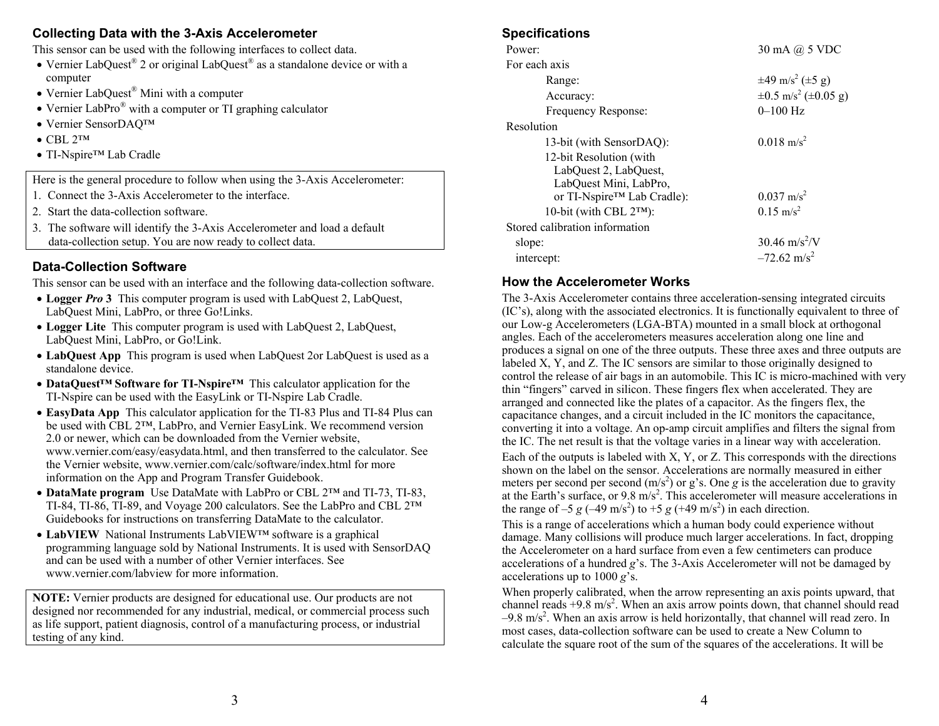# **Collecting Data with the 3-Axis Accelerometer**

This sensor can be used with the following interfaces to collect data.

- Vernier LabQuest<sup>®</sup> 2 or original LabQuest<sup>®</sup> as a standalone device or with a computer
- Vernier LabQuest<sup>®</sup> Mini with a computer
- Vernier LabPro<sup>®</sup> with a computer or TI graphing calculator
- Vernier SensorDAQ™
- $\bullet$  CBL 2™
- TI-Nspire<sup>™</sup> Lab Cradle

Here is the general procedure to follow when using the 3-Axis Accelerometer:

- 1. Connect the 3-Axis Accelerometer to the interface.
- 2. Start the data-collection software.
- 3. The software will identify the 3-Axis Accelerometer and load a default data-collection setup. You are now ready to collect data.

# **Data-Collection Software**

This sensor can be used with an interface and the following data-collection software.

- **Logger** *Pro* **3** This computer program is used with LabQuest 2, LabQuest, LabQuest Mini, LabPro, or three Go!Links.
- **Logger Lite** This computer program is used with LabQuest 2, LabQuest, LabQuest Mini, LabPro, or Go!Link.
- **LabQuest App** This program is used when LabQuest 2or LabQuest is used as a standalone device.
- **DataQuest™ Software for TI-Nspire™** This calculator application for the TI-Nspire can be used with the EasyLink or TI-Nspire Lab Cradle.
- **EasyData App** This calculator application for the TI-83 Plus and TI-84 Plus can be used with CBL 2™, LabPro, and Vernier EasyLink. We recommend version 2.0 or newer, which can be downloaded from the Vernier website, www.vernier.com/easy/easydata.html, and then transferred to the calculator. See the Vernier website, www.vernier.com/calc/software/index.html for more information on the App and Program Transfer Guidebook.
- **DataMate program** Use DataMate with LabPro or CBL 2™ and TI-73, TI-83, TI-84, TI-86, TI-89, and Voyage 200 calculators. See the LabPro and CBL 2™ Guidebooks for instructions on transferring DataMate to the calculator.
- **LabVIEW** National Instruments LabVIEW™ software is a graphical programming language sold by National Instruments. It is used with SensorDAQ and can be used with a number of other Vernier interfaces. See www.vernier.com/labview for more information.

**NOTE:** Vernier products are designed for educational use. Our products are not designed nor recommended for any industrial, medical, or commercial process such as life support, patient diagnosis, control of a manufacturing process, or industrial testing of any kind.

#### **Specifications**

| Power:                                           | $30 \text{ mA}$ $\omega$ 5 VDC             |
|--------------------------------------------------|--------------------------------------------|
| For each axis                                    |                                            |
| Range:                                           | $\pm 49$ m/s <sup>2</sup> ( $\pm 5$ g)     |
| Accuracy:                                        | $\pm 0.5$ m/s <sup>2</sup> ( $\pm 0.05$ g) |
| Frequency Response:                              | $0 - 100$ Hz                               |
| Resolution                                       |                                            |
| 13-bit (with SensorDAQ):                         | $0.018$ m/s <sup>2</sup>                   |
| 12-bit Resolution (with<br>LabQuest 2, LabQuest, |                                            |
| LabQuest Mini, LabPro,                           |                                            |
| or TI-Nspire <sup>™</sup> Lab Cradle):           | $0.037 \text{ m/s}^2$                      |
| 10-bit (with CBL 2™):                            | $0.15 \text{ m/s}^2$                       |
| Stored calibration information                   |                                            |
| slope:                                           | $30.46 \text{ m/s}^2$ /V                   |
| intercept:                                       | $-72.62$ m/s <sup>2</sup>                  |

## **How the Accelerometer Works**

The 3-Axis Accelerometer contains three acceleration-sensing integrated circuits (IC's), along with the associated electronics. It is functionally equivalent to three of our Low-g Accelerometers (LGA-BTA) mounted in a small block at orthogonal angles. Each of the accelerometers measures acceleration along one line and produces a signal on one of the three outputs. These three axes and three outputs are labeled X, Y, and Z. The IC sensors are similar to those originally designed to control the release of air bags in an automobile. This IC is micro-machined with very thin "fingers" carved in silicon. These fingers flex when accelerated. They are arranged and connected like the plates of a capacitor. As the fingers flex, the capacitance changes, and a circuit included in the IC monitors the capacitance, converting it into a voltage. An op-amp circuit amplifies and filters the signal from the IC. The net result is that the voltage varies in a linear way with acceleration. Each of the outputs is labeled with  $X$ ,  $Y$ , or  $Z$ . This corresponds with the directions shown on the label on the sensor. Accelerations are normally measured in either meters per second per second  $(m/s^2)$  or g's. One g is the acceleration due to gravity at the Earth's surface, or  $9.8 \text{ m/s}^2$ . This accelerometer will measure accelerations in the range of  $-5 g (-49 \text{ m/s}^2)$  to  $+5 g (+49 \text{ m/s}^2)$  in each direction.

This is a range of accelerations which a human body could experience without damage. Many collisions will produce much larger accelerations. In fact, dropping the Accelerometer on a hard surface from even a few centimeters can produce accelerations of a hundred *g*'s. The 3-Axis Accelerometer will not be damaged by accelerations up to 1000 *g*'s.

When properly calibrated, when the arrow representing an axis points upward, that channel reads  $+9.8$  m/s<sup>2</sup>. When an axis arrow points down, that channel should read  $-9.8$  m/s<sup>2</sup>. When an axis arrow is held horizontally, that channel will read zero. In most cases, data-collection software can be used to create a New Column to calculate the square root of the sum of the squares of the accelerations. It will be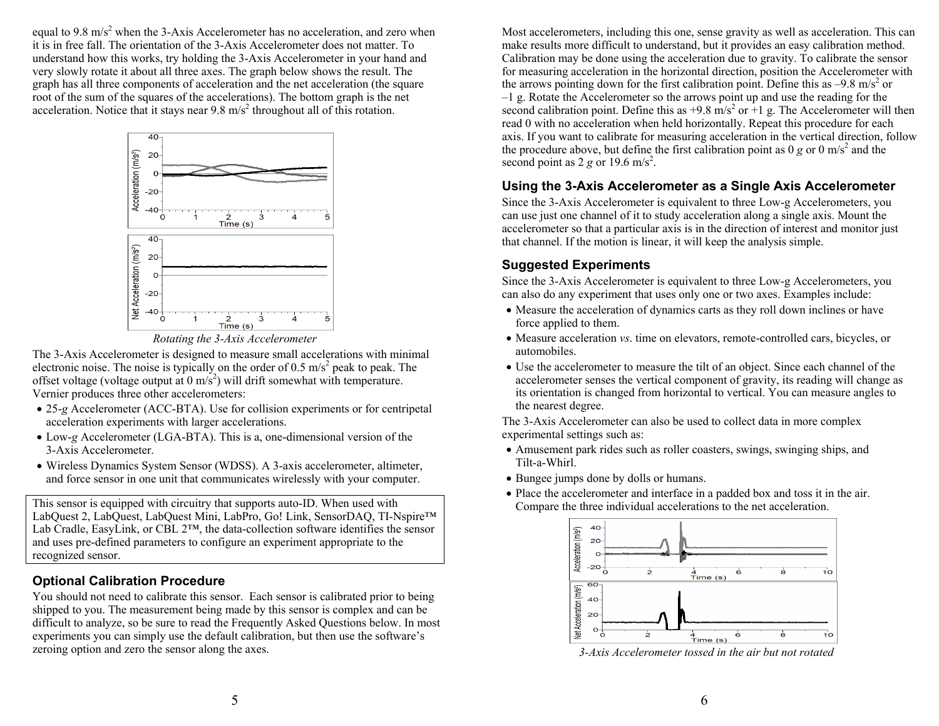equal to  $9.8 \text{ m/s}^2$  when the 3-Axis Accelerometer has no acceleration, and zero when it is in free fall. The orientation of the 3-Axis Accelerometer does not matter. To understand how this works, try holding the 3-Axis Accelerometer in your hand and very slowly rotate it about all three axes. The graph below shows the result. The graph has all three components of acceleration and the net acceleration (the square root of the sum of the squares of the accelerations). The bottom graph is the net acceleration. Notice that it stays near  $9.8 \text{ m/s}^2$  throughout all of this rotation.



*Rotating the 3-Axis Accelerometer* 

The 3-Axis Accelerometer is designed to measure small accelerations with minimal electronic noise. The noise is typically on the order of  $0.5 \text{ m/s}^2$  peak to peak. The offset voltage (voltage output at  $0 \text{ m/s}^2$ ) will drift somewhat with temperature. Vernier produces three other accelerometers:

- 25-*g* Accelerometer (ACC-BTA). Use for collision experiments or for centripetal acceleration experiments with larger accelerations.
- Low-*g* Accelerometer (LGA-BTA). This is a, one-dimensional version of the 3-Axis Accelerometer.
- Wireless Dynamics System Sensor (WDSS). A 3-axis accelerometer, altimeter, and force sensor in one unit that communicates wirelessly with your computer.

This sensor is equipped with circuitry that supports auto-ID. When used with LabQuest 2, LabQuest, LabQuest Mini, LabPro, Go! Link, SensorDAQ, TI-Nspire™ Lab Cradle, EasyLink, or CBL 2™, the data-collection software identifies the sensor and uses pre-defined parameters to configure an experiment appropriate to the recognized sensor.

## **Optional Calibration Procedure**

You should not need to calibrate this sensor. Each sensor is calibrated prior to being shipped to you. The measurement being made by this sensor is complex and can be difficult to analyze, so be sure to read the Frequently Asked Questions below. In most experiments you can simply use the default calibration, but then use the software's zeroing option and zero the sensor along the axes.

Most accelerometers, including this one, sense gravity as well as acceleration. This can make results more difficult to understand, but it provides an easy calibration method. Calibration may be done using the acceleration due to gravity. To calibrate the sensor for measuring acceleration in the horizontal direction, position the Accelerometer with the arrows pointing down for the first calibration point. Define this as  $-9.8 \text{ m/s}^2$  or –1 g. Rotate the Accelerometer so the arrows point up and use the reading for the second calibration point. Define this as  $+9.8$  m/s<sup>2</sup> or  $+1$  g. The Accelerometer will then read 0 with no acceleration when held horizontally. Repeat this procedure for each axis. If you want to calibrate for measuring acceleration in the vertical direction, follow the procedure above, but define the first calibration point as  $0 g$  or  $0 m/s<sup>2</sup>$  and the second point as  $2 g$  or  $19.6$  m/s<sup>2</sup>.

## **Using the 3-Axis Accelerometer as a Single Axis Accelerometer**

Since the 3-Axis Accelerometer is equivalent to three Low-g Accelerometers, you can use just one channel of it to study acceleration along a single axis. Mount the accelerometer so that a particular axis is in the direction of interest and monitor just that channel. If the motion is linear, it will keep the analysis simple.

## **Suggested Experiments**

Since the 3-Axis Accelerometer is equivalent to three Low-g Accelerometers, you can also do any experiment that uses only one or two axes. Examples include:

- Measure the acceleration of dynamics carts as they roll down inclines or have force applied to them.
- Measure acceleration *vs*. time on elevators, remote-controlled cars, bicycles, or automobiles.
- Use the accelerometer to measure the tilt of an object. Since each channel of the accelerometer senses the vertical component of gravity, its reading will change as its orientation is changed from horizontal to vertical. You can measure angles to the nearest degree.

The 3-Axis Accelerometer can also be used to collect data in more complex experimental settings such as:

- Amusement park rides such as roller coasters, swings, swinging ships, and Tilt-a-Whirl.
- Bungee jumps done by dolls or humans.
- Place the accelerometer and interface in a padded box and toss it in the air. Compare the three individual accelerations to the net acceleration.



*3-Axis Accelerometer tossed in the air but not rotated*